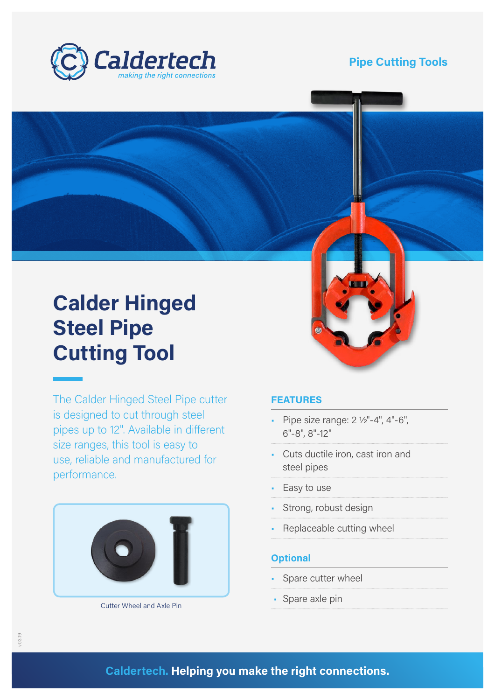

### **Pipe Cutting Tools**

# **Calder Hinged Steel Pipe Cutting Tool**

The Calder Hinged Steel Pipe cutter is designed to cut through steel pipes up to 12". Available in different size ranges, this tool is easy to use, reliable and manufactured for performance.



Cutter Wheel and Axle Pin

#### **FEATURES**

- Pipe size range: 2 ½"-4", 4"-6", 6"-8", 8"-12"
- Cuts ductile iron, cast iron and steel pipes
- Easy to use
- Strong, robust design
- Replaceable cutting wheel

#### **Optional**

- Spare cutter wheel
- Spare axle pin